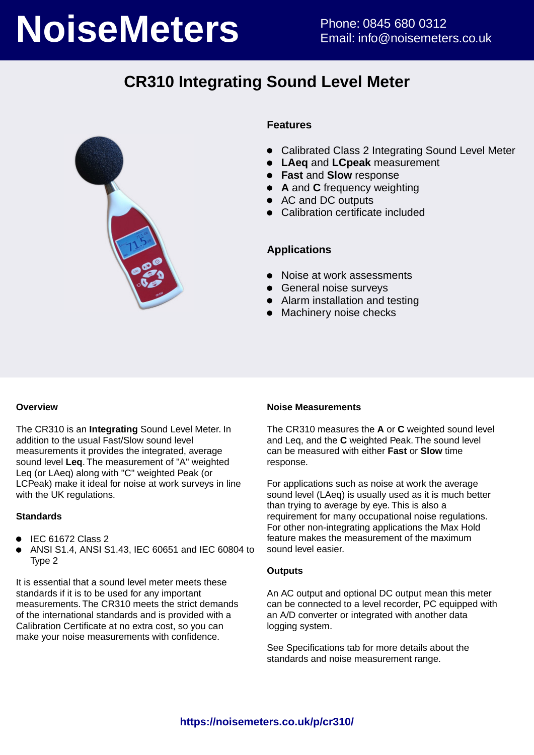# **NoiseMeters** Phone: 0845 680 0312

## **CR310 Integrating Sound Level Meter**



#### **Features**

- $\bullet$ Calibrated Class 2 Integrating Sound Level Meter
- **LAeq** and **LCpeak** measurement
- **Fast** and **Slow** response
- **A** and **C** frequency weighting
- AC and DC outputs
- Calibration certificate included

#### **Applications**

- Noise at work assessments
- **•** General noise surveys
- Alarm installation and testing
- Machinery noise checks

#### **Overview**

The CR310 is an **Integrating** Sound Level Meter. In addition to the usual Fast/Slow sound level measurements it provides the integrated, average sound level **Leq**. The measurement of "A" weighted Leq (or LAeq) along with "C" weighted Peak (or LCPeak) make it ideal for noise at work surveys in line with the UK regulations.

#### **Standards**

- $\bullet$  IEC 61672 Class 2
- ANSI S1.4, ANSI S1.43, IEC 60651 and IEC 60804 to Type 2

It is essential that a sound level meter meets these standards if it is to be used for any important measurements. The CR310 meets the strict demands of the international standards and is provided with a Calibration Certificate at no extra cost, so you can make your noise measurements with confidence.

#### **Noise Measurements**

The CR310 measures the **A** or **C** weighted sound level and Leq, and the **C** weighted Peak. The sound level can be measured with either **Fast** or **Slow** time response.

For applications such as noise at work the average sound level (LAeq) is usually used as it is much better than trying to average by eye. This is also a requirement for many occupational noise regulations. For other non-integrating applications the Max Hold feature makes the measurement of the maximum sound level easier.

#### **Outputs**

An AC output and optional DC output mean this meter can be connected to a level recorder, PC equipped with an A/D converter or integrated with another data logging system.

See Specifications tab for more details about the standards and noise measurement range.